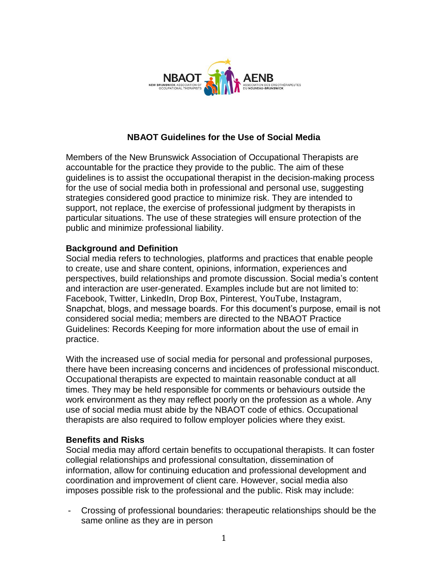

### **NBAOT Guidelines for the Use of Social Media**

Members of the New Brunswick Association of Occupational Therapists are accountable for the practice they provide to the public. The aim of these guidelines is to assist the occupational therapist in the decision-making process for the use of social media both in professional and personal use, suggesting strategies considered good practice to minimize risk. They are intended to support, not replace, the exercise of professional judgment by therapists in particular situations. The use of these strategies will ensure protection of the public and minimize professional liability.

### **Background and Definition**

Social media refers to technologies, platforms and practices that enable people to create, use and share content, opinions, information, experiences and perspectives, build relationships and promote discussion. Social media's content and interaction are user-generated. Examples include but are not limited to: Facebook, Twitter, LinkedIn, Drop Box, Pinterest, YouTube, Instagram, Snapchat, blogs, and message boards. For this document's purpose, email is not considered social media; members are directed to the NBAOT Practice Guidelines: Records Keeping for more information about the use of email in practice.

With the increased use of social media for personal and professional purposes, there have been increasing concerns and incidences of professional misconduct. Occupational therapists are expected to maintain reasonable conduct at all times. They may be held responsible for comments or behaviours outside the work environment as they may reflect poorly on the profession as a whole. Any use of social media must abide by the NBAOT code of ethics. Occupational therapists are also required to follow employer policies where they exist.

#### **Benefits and Risks**

Social media may afford certain benefits to occupational therapists. It can foster collegial relationships and professional consultation, dissemination of information, allow for continuing education and professional development and coordination and improvement of client care. However, social media also imposes possible risk to the professional and the public. Risk may include:

- Crossing of professional boundaries: therapeutic relationships should be the same online as they are in person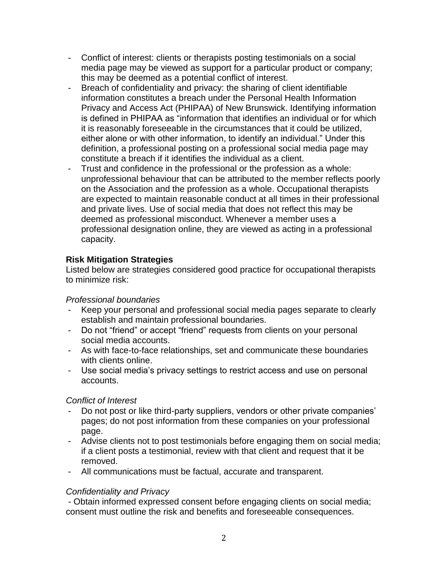- Conflict of interest: clients or therapists posting testimonials on a social media page may be viewed as support for a particular product or company; this may be deemed as a potential conflict of interest.
- Breach of confidentiality and privacy: the sharing of client identifiable information constitutes a breach under the Personal Health Information Privacy and Access Act (PHIPAA) of New Brunswick. Identifying information is defined in PHIPAA as "information that identifies an individual or for which it is reasonably foreseeable in the circumstances that it could be utilized, either alone or with other information, to identify an individual." Under this definition, a professional posting on a professional social media page may constitute a breach if it identifies the individual as a client.
- Trust and confidence in the professional or the profession as a whole: unprofessional behaviour that can be attributed to the member reflects poorly on the Association and the profession as a whole. Occupational therapists are expected to maintain reasonable conduct at all times in their professional and private lives. Use of social media that does not reflect this may be deemed as professional misconduct. Whenever a member uses a professional designation online, they are viewed as acting in a professional capacity.

# **Risk Mitigation Strategies**

Listed below are strategies considered good practice for occupational therapists to minimize risk:

### *Professional boundaries*

- Keep your personal and professional social media pages separate to clearly establish and maintain professional boundaries.
- Do not "friend" or accept "friend" requests from clients on your personal social media accounts.
- As with face-to-face relationships, set and communicate these boundaries with clients online.
- Use social media's privacy settings to restrict access and use on personal accounts.

### *Conflict of Interest*

- Do not post or like third-party suppliers, vendors or other private companies' pages; do not post information from these companies on your professional page.
- Advise clients not to post testimonials before engaging them on social media; if a client posts a testimonial, review with that client and request that it be removed.
- All communications must be factual, accurate and transparent.

# *Confidentiality and Privacy*

- Obtain informed expressed consent before engaging clients on social media; consent must outline the risk and benefits and foreseeable consequences.